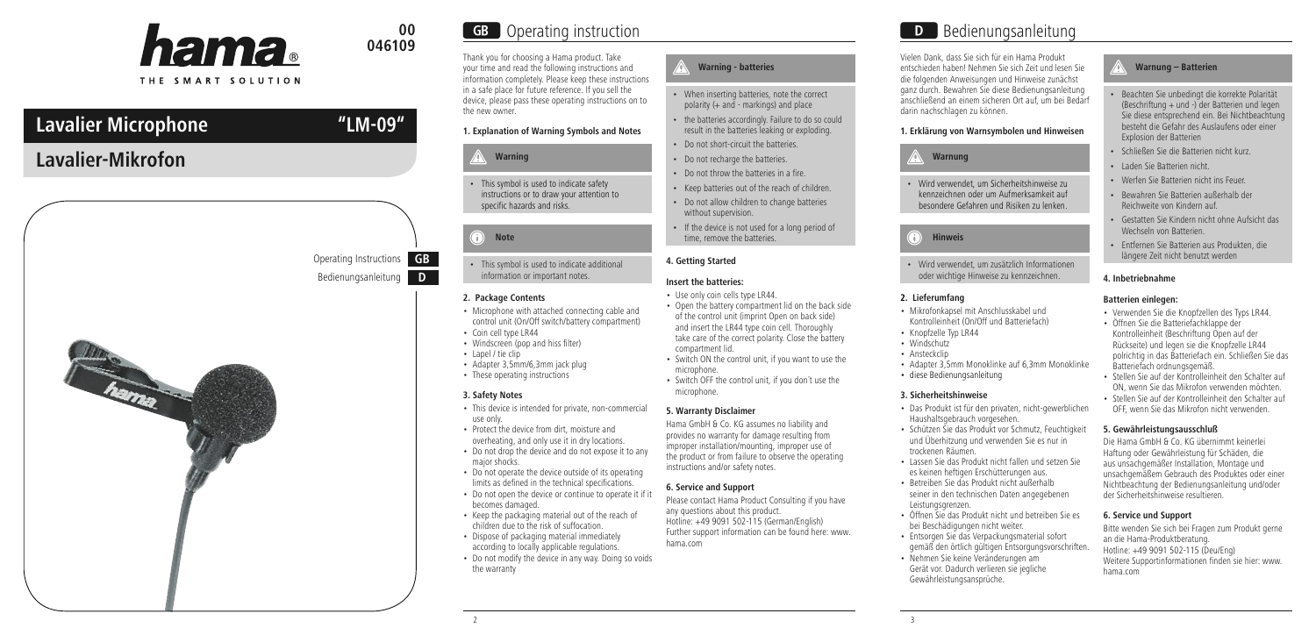

# **046109**

THE SMART SOLUTION

# **Lavalier Microphone "LM-09"**

# **Lavalier-Mikrofon**



Operating Instructions **GB**

# **00 GB** Operating instruction **DB** Bedienungsanleitung

Thank you for choosing a Hama product. Take your time and read the following instructions and information completely. Please keep these instructions in a safe place for future reference. If you sell the device, please pass these operating instructions on to the new owner.

# **1. Explanation of Warning Symbols and Notes**

### **Warning**

• This symbol is used to indicate safety instructions or to draw your attention to specific hazards and risks.

# **Note**

• This symbol is used to indicate additional information or important notes.

#### **2. Package Contents**

- Microphone with attached connecting cable and control unit (On/Off switch/battery compartment)
- Coin cell type LR44 • Windscreen (pop and hiss filter)
- Lapel / tie clip
- Adapter 3,5mm/6,3mm jack plug
- These operating instructions

## **3. Safety Notes**

- This device is intended for private, non-commercial use only.
- Protect the device from dirt, moisture and overheating, and only use it in dry locations.
- Do not drop the device and do not expose it to any major shocks.
- Do not operate the device outside of its operating limits as defined in the technical specifications.
- Do not open the device or continue to operate it if it becomes damaged.
- Keep the packaging material out of the reach of children due to the risk of suffocation.
- Dispose of packaging material immediately according to locally applicable regulations.
- Do not modify the device in any way. Doing so voids the warranty

# **Warning - batteries**

- When inserting batteries, note the correct polarity (+ and - markings) and place
- the batteries accordingly. Failure to do so could result in the batteries leaking or exploding.
- Do not short-circuit the batteries.
- Do not recharge the batteries.
- Do not throw the batteries in a fire.
- Keep batteries out of the reach of children.
- Do not allow children to change batteries without supervision.
- If the device is not used for a long period of time, remove the batteries.

# **4. Getting Started**

## **Insert the batteries:**

- Use only coin cells type LR44.
- Open the battery compartment lid on the back side of the control unit (imprint Open on back side) and insert the LR44 type coin cell. Thoroughly take care of the correct polarity. Close the battery compartment lid.
- Switch ON the control unit, if you want to use the microphone.
- Switch OFF the control unit, if you don´t use the microphone.

## **5. Warranty Disclaimer**

Hama GmbH & Co. KG assumes no liability and provides no warranty for damage resulting from improper installation/mounting, improper use of the product or from failure to observe the operating instructions and/or safety notes.

# **6. Service and Support**

Please contact Hama Product Consulting if you have any questions about this product. Hotline: +49 9091 502-115 (German/English) Further support information can be found here: www. hama.com

Vielen Dank, dass Sie sich für ein Hama Produkt entschieden haben! Nehmen Sie sich Zeit und lesen Sie die folgenden Anweisungen und Hinweise zunächst ganz durch. Bewahren Sie diese Bedienungsanleitung anschließend an einem sicheren Ort auf, um bei Bedarf darin nachschlagen zu können.

# **1. Erklärung von Warnsymbolen und Hinweisen**

# **Warnung**

• Wird verwendet, um Sicherheitshinweise zu kennzeichnen oder um Aufmerksamkeit auf besondere Gefahren und Risiken zu lenken.

# **Hinweis**

• Wird verwendet, um zusätzlich Informationen oder wichtige Hinweise zu kennzeichnen.

# **2. Lieferumfang**

- Mikrofonkapsel mit Anschlusskabel und Kontrolleinheit (On/Off und Batteriefach)
- Knopfzelle Typ LR44 • Windschutz
- Ansteckclin
- Adapter 3,5mm Monoklinke auf 6,3mm Monoklinke
- diese Bedienungsanleitung

#### **3. Sicherheitshinweise**

- Das Produkt ist für den privaten, nicht-gewerblichen Haushaltsgebrauch vorgesehen.
- Schützen Sie das Produkt vor Schmutz, Feuchtigkeit und Überhitzung und verwenden Sie es nur in trockenen Räumen.
- Lassen Sie das Produkt nicht fallen und setzen Sie es keinen heftigen Erschütterungen aus.
- Betreiben Sie das Produkt nicht außerhalb seiner in den technischen Daten angegebenen Leistungsgrenzen.
- Öffnen Sie das Produkt nicht und betreiben Sie es bei Beschädigungen nicht weiter.
- Entsorgen Sie das Verpackungsmaterial sofort gemäß den örtlich gültigen Entsorgungsvorschriften.
- Nehmen Sie keine Veränderungen am Gerät vor. Dadurch verlieren sie jegliche Gewährleistungsansprüche.

# **Warnung – Batterien**

- Beachten Sie unbedingt die korrekte Polarität (Beschriftung + und -) der Batterien und legen Sie diese entsprechend ein. Bei Nichtbeachtung besteht die Gefahr des Auslaufens oder einer Explosion der Batterien
- Schließen Sie die Batterien nicht kurz.
- Laden Sie Batterien nicht.
- Werfen Sie Batterien nicht ins Feuer.
- Bewahren Sie Batterien außerhalb der Reichweite von Kindern auf.
- Gestatten Sie Kindern nicht ohne Aufsicht das Wechseln von Batterien.
- Entfernen Sie Batterien aus Produkten, die längere Zeit nicht benutzt werden

## **4. Inbetriebnahme**

# **Batterien einlegen:**

- Verwenden Sie die Knopfzellen des Typs LR44. • Öffnen Sie die Batteriefachklappe der
- Kontrolleinheit (Beschriftung Open auf der Rückseite) und legen sie die Knopfzelle LR44 polrichtig in das Batteriefach ein. Schließen Sie das Batteriefach ordnungsgemäß.
- Stellen Sie auf der Kontrolleinheit den Schalter auf ON, wenn Sie das Mikrofon verwenden möchten.
- Stellen Sie auf der Kontrolleinheit den Schalter auf OFF, wenn Sie das Mikrofon nicht verwenden.

## **5. Gewährleistungsausschluß**

Die Hama GmbH & Co. KG übernimmt keinerlei Haftung oder Gewährleistung für Schäden, die aus unsachgemäßer Installation, Montage und unsachgemäßem Gebrauch des Produktes oder einer Nichtbeachtung der Bedienungsanleitung und/oder der Sicherheitshinweise resultieren.

# **6. Service und Support**

Bitte wenden Sie sich bei Fragen zum Produkt gerne an die Hama-Produktberatung. Hotline: +49 9091 502-115 (Deu/Eng) Weitere Supportinformationen finden sie hier: www. hama.com